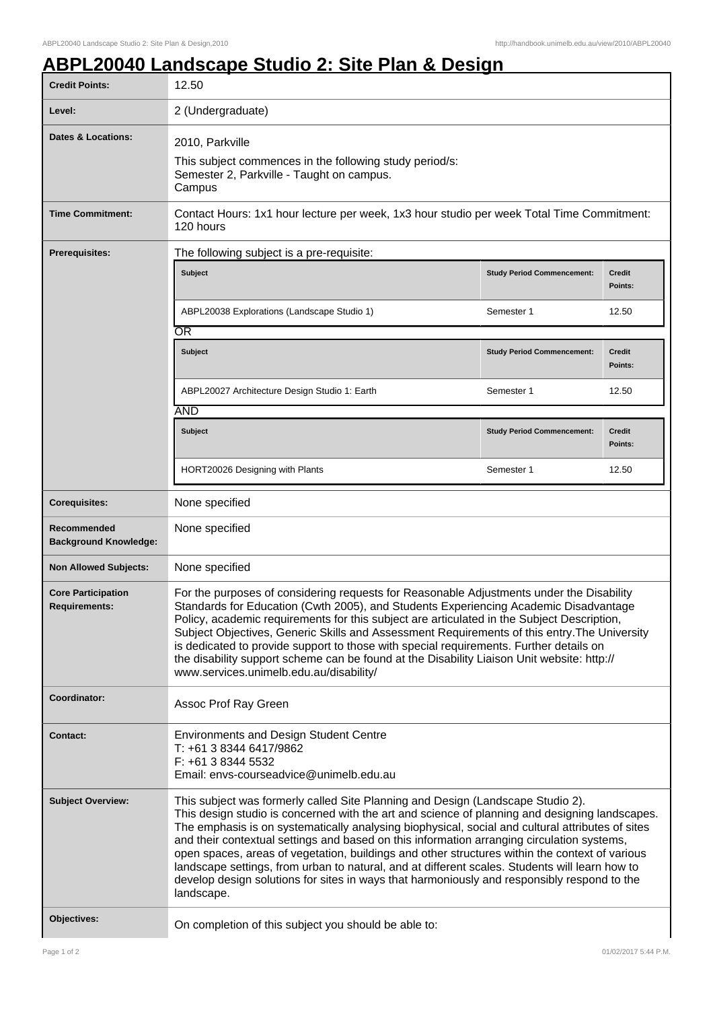٦

## **ABPL20040 Landscape Studio 2: Site Plan & Design**

| <b>Credit Points:</b>                             | 12.50                                                                                                                                                                                                                                                                                                                                                                                                                                                                                                                                                                                                                                                                                                |                                   |                          |  |
|---------------------------------------------------|------------------------------------------------------------------------------------------------------------------------------------------------------------------------------------------------------------------------------------------------------------------------------------------------------------------------------------------------------------------------------------------------------------------------------------------------------------------------------------------------------------------------------------------------------------------------------------------------------------------------------------------------------------------------------------------------------|-----------------------------------|--------------------------|--|
| Level:                                            | 2 (Undergraduate)                                                                                                                                                                                                                                                                                                                                                                                                                                                                                                                                                                                                                                                                                    |                                   |                          |  |
| Dates & Locations:                                | 2010, Parkville<br>This subject commences in the following study period/s:<br>Semester 2, Parkville - Taught on campus.<br>Campus                                                                                                                                                                                                                                                                                                                                                                                                                                                                                                                                                                    |                                   |                          |  |
| <b>Time Commitment:</b>                           | Contact Hours: 1x1 hour lecture per week, 1x3 hour studio per week Total Time Commitment:<br>120 hours                                                                                                                                                                                                                                                                                                                                                                                                                                                                                                                                                                                               |                                   |                          |  |
| <b>Prerequisites:</b>                             | The following subject is a pre-requisite:                                                                                                                                                                                                                                                                                                                                                                                                                                                                                                                                                                                                                                                            |                                   |                          |  |
|                                                   | <b>Subject</b>                                                                                                                                                                                                                                                                                                                                                                                                                                                                                                                                                                                                                                                                                       | <b>Study Period Commencement:</b> | <b>Credit</b><br>Points: |  |
|                                                   | ABPL20038 Explorations (Landscape Studio 1)                                                                                                                                                                                                                                                                                                                                                                                                                                                                                                                                                                                                                                                          | Semester 1                        | 12.50                    |  |
|                                                   | $\overline{\text{OR}}$                                                                                                                                                                                                                                                                                                                                                                                                                                                                                                                                                                                                                                                                               |                                   |                          |  |
|                                                   | <b>Subject</b>                                                                                                                                                                                                                                                                                                                                                                                                                                                                                                                                                                                                                                                                                       | <b>Study Period Commencement:</b> | <b>Credit</b><br>Points: |  |
|                                                   | ABPL20027 Architecture Design Studio 1: Earth                                                                                                                                                                                                                                                                                                                                                                                                                                                                                                                                                                                                                                                        | Semester 1                        | 12.50                    |  |
|                                                   | <b>AND</b>                                                                                                                                                                                                                                                                                                                                                                                                                                                                                                                                                                                                                                                                                           |                                   |                          |  |
|                                                   | <b>Subject</b>                                                                                                                                                                                                                                                                                                                                                                                                                                                                                                                                                                                                                                                                                       | <b>Study Period Commencement:</b> | <b>Credit</b><br>Points: |  |
|                                                   | HORT20026 Designing with Plants                                                                                                                                                                                                                                                                                                                                                                                                                                                                                                                                                                                                                                                                      | Semester 1                        | 12.50                    |  |
| <b>Corequisites:</b>                              | None specified                                                                                                                                                                                                                                                                                                                                                                                                                                                                                                                                                                                                                                                                                       |                                   |                          |  |
| Recommended<br><b>Background Knowledge:</b>       | None specified                                                                                                                                                                                                                                                                                                                                                                                                                                                                                                                                                                                                                                                                                       |                                   |                          |  |
| <b>Non Allowed Subjects:</b>                      | None specified                                                                                                                                                                                                                                                                                                                                                                                                                                                                                                                                                                                                                                                                                       |                                   |                          |  |
| <b>Core Participation</b><br><b>Requirements:</b> | For the purposes of considering requests for Reasonable Adjustments under the Disability<br>Standards for Education (Cwth 2005), and Students Experiencing Academic Disadvantage<br>Policy, academic requirements for this subject are articulated in the Subject Description,<br>Subject Objectives, Generic Skills and Assessment Requirements of this entry. The University<br>is dedicated to provide support to those with special requirements. Further details on<br>the disability support scheme can be found at the Disability Liaison Unit website: http://<br>www.services.unimelb.edu.au/disability/                                                                                    |                                   |                          |  |
| Coordinator:                                      | Assoc Prof Ray Green                                                                                                                                                                                                                                                                                                                                                                                                                                                                                                                                                                                                                                                                                 |                                   |                          |  |
| <b>Contact:</b>                                   | <b>Environments and Design Student Centre</b><br>T: +61 3 8344 6417/9862<br>F: +61 3 8344 5532<br>Email: envs-courseadvice@unimelb.edu.au                                                                                                                                                                                                                                                                                                                                                                                                                                                                                                                                                            |                                   |                          |  |
| <b>Subject Overview:</b>                          | This subject was formerly called Site Planning and Design (Landscape Studio 2).<br>This design studio is concerned with the art and science of planning and designing landscapes.<br>The emphasis is on systematically analysing biophysical, social and cultural attributes of sites<br>and their contextual settings and based on this information arranging circulation systems,<br>open spaces, areas of vegetation, buildings and other structures within the context of various<br>landscape settings, from urban to natural, and at different scales. Students will learn how to<br>develop design solutions for sites in ways that harmoniously and responsibly respond to the<br>landscape. |                                   |                          |  |
| Objectives:                                       | On completion of this subject you should be able to:                                                                                                                                                                                                                                                                                                                                                                                                                                                                                                                                                                                                                                                 |                                   |                          |  |